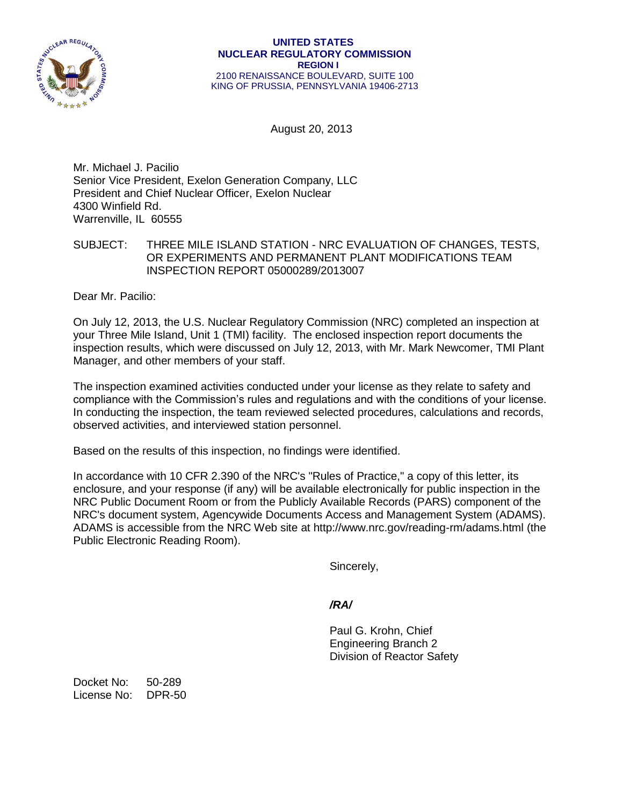

#### **UNITED STATES NUCLEAR REGULATORY COMMISSION REGION I** 2100 RENAISSANCE BOULEVARD, SUITE 100 KING OF PRUSSIA, PENNSYLVANIA 19406-2713

August 20, 2013

Mr. Michael J. Pacilio Senior Vice President, Exelon Generation Company, LLC President and Chief Nuclear Officer, Exelon Nuclear 4300 Winfield Rd. Warrenville, IL 60555

# SUBJECT: THREE MILE ISLAND STATION - NRC EVALUATION OF CHANGES, TESTS, OR EXPERIMENTS AND PERMANENT PLANT MODIFICATIONS TEAM INSPECTION REPORT 05000289/2013007

Dear Mr. Pacilio:

On July 12, 2013, the U.S. Nuclear Regulatory Commission (NRC) completed an inspection at your Three Mile Island, Unit 1 (TMI) facility. The enclosed inspection report documents the inspection results, which were discussed on July 12, 2013, with Mr. Mark Newcomer, TMI Plant Manager, and other members of your staff.

The inspection examined activities conducted under your license as they relate to safety and compliance with the Commission's rules and regulations and with the conditions of your license. In conducting the inspection, the team reviewed selected procedures, calculations and records, observed activities, and interviewed station personnel.

Based on the results of this inspection, no findings were identified.

In accordance with 10 CFR 2.390 of the NRC's "Rules of Practice," a copy of this letter, its enclosure, and your response (if any) will be available electronically for public inspection in the NRC Public Document Room or from the Publicly Available Records (PARS) component of the NRC's document system, Agencywide Documents Access and Management System (ADAMS). ADAMS is accessible from the NRC Web site at<http://www.nrc.gov/reading-rm/adams.html> (the Public Electronic Reading Room).

Sincerely,

*/RA/*

Paul G. Krohn, Chief Engineering Branch 2 Division of Reactor Safety

Docket No: 50-289 License No: DPR-50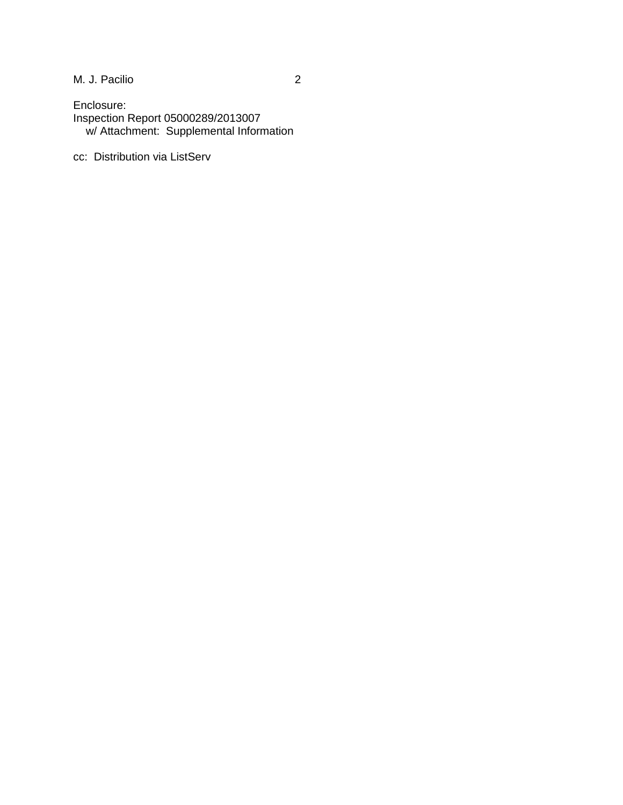M. J. Pacilio 2

Enclosure: Inspection Report 05000289/2013007 w/ Attachment: Supplemental Information

cc: Distribution via ListServ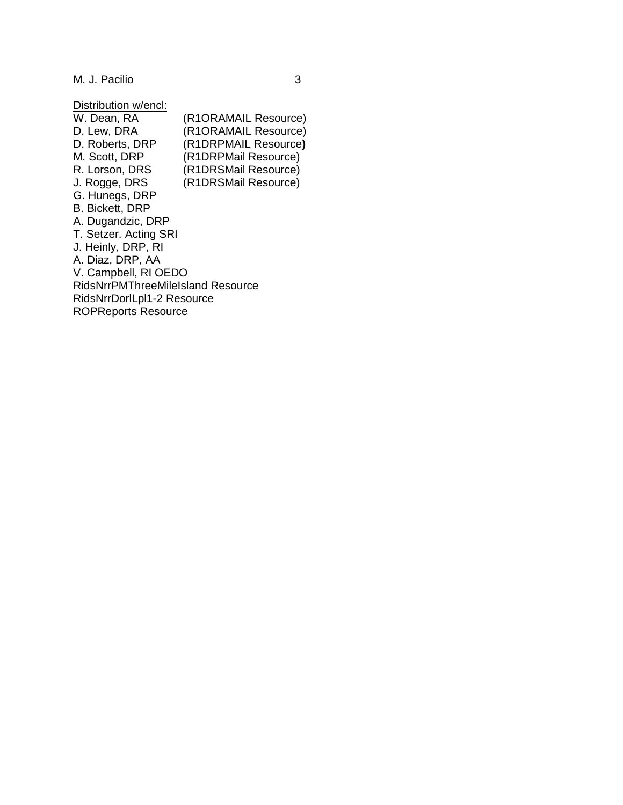M. J. Pacilio 3

Distribution w/encl:<br>W. Dean, RA W. Dean, RA (R1ORAMAIL Resource)<br>D. Lew, DRA (R1ORAMAIL Resource) D. Lew, DRA (R1ORAMAIL Resource)<br>D. Roberts, DRP (R1DRPMAIL Resource) D. Roberts, DRP (R1DRPMAIL Resource**)** M. Scott, DRP (R1DRPMail Resource) R. Lorson, DRS (R1DRSMail Resource) J. Rogge, DRS (R1DRSMail Resource) G. Hunegs, DRP B. Bickett, DRP A. Dugandzic, DRP T. Setzer. Acting SRI J. Heinly, DRP, RI A. Diaz, DRP, AA V. Campbell, RI OEDO RidsNrrPMThreeMileIsland Resource RidsNrrDorlLpl1-2 Resource ROPReports Resource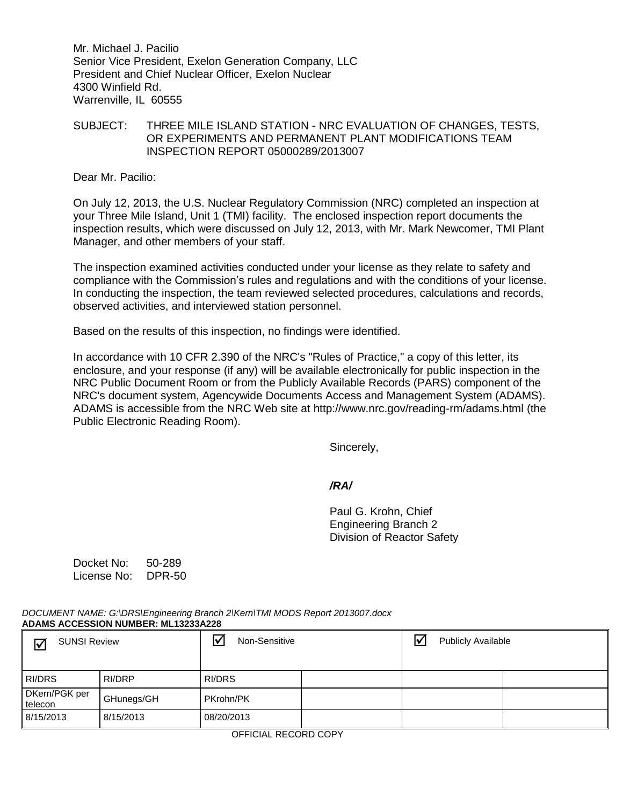Mr. Michael J. Pacilio Senior Vice President, Exelon Generation Company, LLC President and Chief Nuclear Officer, Exelon Nuclear 4300 Winfield Rd. Warrenville, IL 60555

## SUBJECT: THREE MILE ISLAND STATION - NRC EVALUATION OF CHANGES, TESTS, OR EXPERIMENTS AND PERMANENT PLANT MODIFICATIONS TEAM INSPECTION REPORT 05000289/2013007

Dear Mr. Pacilio:

On July 12, 2013, the U.S. Nuclear Regulatory Commission (NRC) completed an inspection at your Three Mile Island, Unit 1 (TMI) facility. The enclosed inspection report documents the inspection results, which were discussed on July 12, 2013, with Mr. Mark Newcomer, TMI Plant Manager, and other members of your staff.

The inspection examined activities conducted under your license as they relate to safety and compliance with the Commission's rules and regulations and with the conditions of your license. In conducting the inspection, the team reviewed selected procedures, calculations and records, observed activities, and interviewed station personnel.

Based on the results of this inspection, no findings were identified.

In accordance with 10 CFR 2.390 of the NRC's "Rules of Practice," a copy of this letter, its enclosure, and your response (if any) will be available electronically for public inspection in the NRC Public Document Room or from the Publicly Available Records (PARS) component of the NRC's document system, Agencywide Documents Access and Management System (ADAMS). ADAMS is accessible from the NRC Web site at<http://www.nrc.gov/reading-rm/adams.html> (the Public Electronic Reading Room).

Sincerely,

*/RA/*

Paul G. Krohn, Chief Engineering Branch 2 Division of Reactor Safety

Docket No: 50-289 License No: DPR-50

*DOCUMENT NAME: G:\DRS\Engineering Branch 2\Kern\TMI MODS Report 2013007.docx* **ADAMS ACCESSION NUMBER: ML13233A228**

| <b>SUNSI Review</b><br>$\triangledown$ |            | Non-Sensitive |  | <b>Publicly Available</b> |  |  |
|----------------------------------------|------------|---------------|--|---------------------------|--|--|
| RI/DRS                                 | RI/DRP     | RI/DRS        |  |                           |  |  |
| DKern/PGK per<br>telecon               | GHunegs/GH | PKrohn/PK     |  |                           |  |  |
| 8/15/2013                              | 8/15/2013  | 08/20/2013    |  |                           |  |  |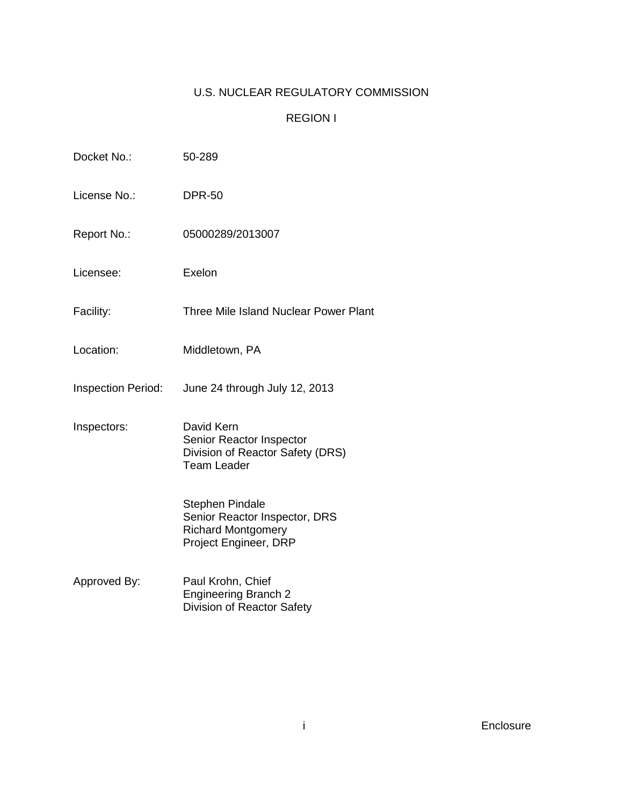# U.S. NUCLEAR REGULATORY COMMISSION

# REGION I

| Docket No.:        | 50-289                                                                                                        |
|--------------------|---------------------------------------------------------------------------------------------------------------|
| License No.:       | <b>DPR-50</b>                                                                                                 |
| Report No.:        | 05000289/2013007                                                                                              |
| Licensee:          | Exelon                                                                                                        |
| Facility:          | Three Mile Island Nuclear Power Plant                                                                         |
| Location:          | Middletown, PA                                                                                                |
| Inspection Period: | June 24 through July 12, 2013                                                                                 |
| Inspectors:        | David Kern<br>Senior Reactor Inspector<br>Division of Reactor Safety (DRS)<br><b>Team Leader</b>              |
|                    | <b>Stephen Pindale</b><br>Senior Reactor Inspector, DRS<br><b>Richard Montgomery</b><br>Project Engineer, DRP |
| Approved By:       | Paul Krohn, Chief<br><b>Engineering Branch 2</b><br>Division of Reactor Safety                                |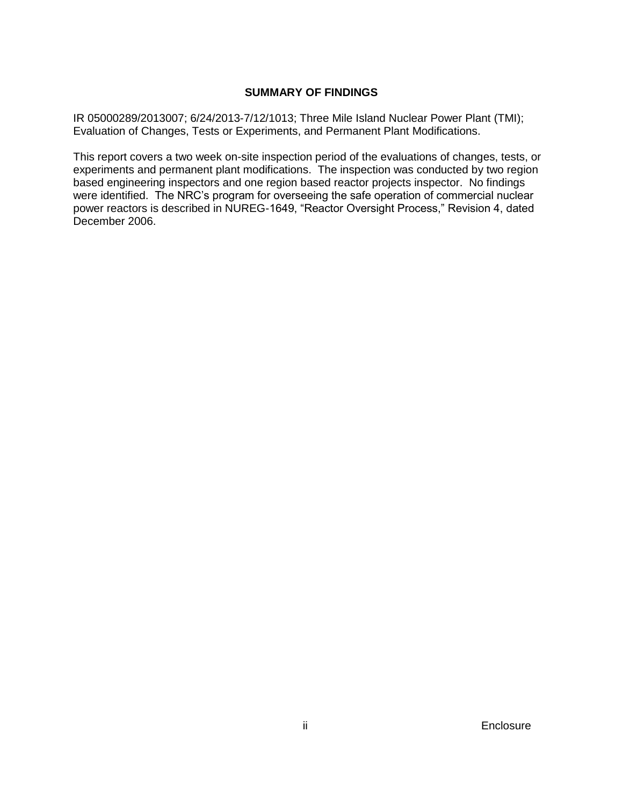## **SUMMARY OF FINDINGS**

IR 05000289/2013007; 6/24/2013-7/12/1013; Three Mile Island Nuclear Power Plant (TMI); Evaluation of Changes, Tests or Experiments, and Permanent Plant Modifications.

This report covers a two week on-site inspection period of the evaluations of changes, tests, or experiments and permanent plant modifications. The inspection was conducted by two region based engineering inspectors and one region based reactor projects inspector. No findings were identified. The NRC's program for overseeing the safe operation of commercial nuclear power reactors is described in NUREG-1649, "Reactor Oversight Process," Revision 4, dated December 2006.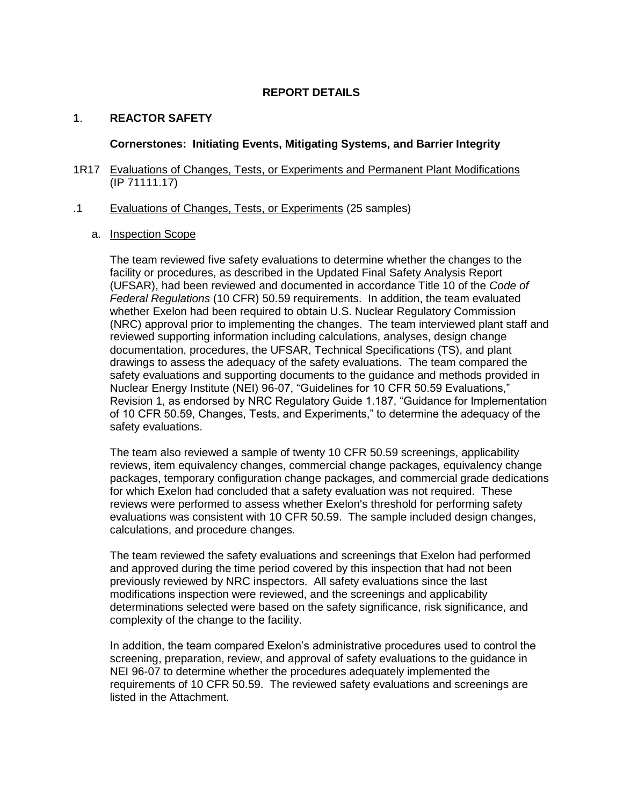## **REPORT DETAILS**

# **1**. **REACTOR SAFETY**

## **Cornerstones: Initiating Events, Mitigating Systems, and Barrier Integrity**

## 1R17 Evaluations of Changes, Tests, or Experiments and Permanent Plant Modifications (IP 71111.17)

.1 Evaluations of Changes, Tests, or Experiments (25 samples)

## a. Inspection Scope

The team reviewed five safety evaluations to determine whether the changes to the facility or procedures, as described in the Updated Final Safety Analysis Report (UFSAR), had been reviewed and documented in accordance Title 10 of the *Code of Federal Regulations* (10 CFR) 50.59 requirements. In addition, the team evaluated whether Exelon had been required to obtain U.S. Nuclear Regulatory Commission (NRC) approval prior to implementing the changes. The team interviewed plant staff and reviewed supporting information including calculations, analyses, design change documentation, procedures, the UFSAR, Technical Specifications (TS), and plant drawings to assess the adequacy of the safety evaluations. The team compared the safety evaluations and supporting documents to the guidance and methods provided in Nuclear Energy Institute (NEI) 96-07, "Guidelines for 10 CFR 50.59 Evaluations," Revision 1, as endorsed by NRC Regulatory Guide 1.187, "Guidance for Implementation of 10 CFR 50.59, Changes, Tests, and Experiments," to determine the adequacy of the safety evaluations.

The team also reviewed a sample of twenty 10 CFR 50.59 screenings, applicability reviews, item equivalency changes, commercial change packages, equivalency change packages, temporary configuration change packages, and commercial grade dedications for which Exelon had concluded that a safety evaluation was not required. These reviews were performed to assess whether Exelon's threshold for performing safety evaluations was consistent with 10 CFR 50.59. The sample included design changes, calculations, and procedure changes.

The team reviewed the safety evaluations and screenings that Exelon had performed and approved during the time period covered by this inspection that had not been previously reviewed by NRC inspectors. All safety evaluations since the last modifications inspection were reviewed, and the screenings and applicability determinations selected were based on the safety significance, risk significance, and complexity of the change to the facility.

In addition, the team compared Exelon's administrative procedures used to control the screening, preparation, review, and approval of safety evaluations to the guidance in NEI 96-07 to determine whether the procedures adequately implemented the requirements of 10 CFR 50.59. The reviewed safety evaluations and screenings are listed in the Attachment.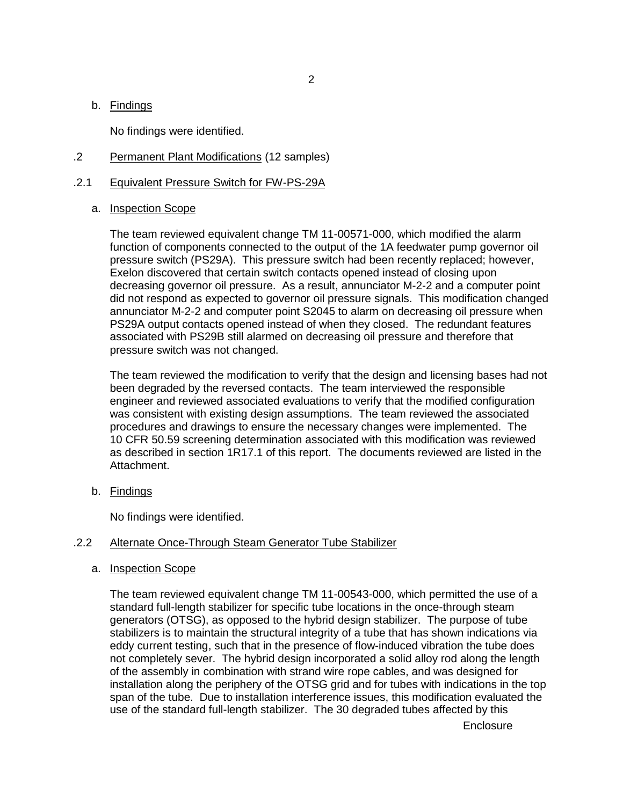## b. Findings

No findings were identified.

## .2 Permanent Plant Modifications (12 samples)

## .2.1 Equivalent Pressure Switch for FW-PS-29A

## a. Inspection Scope

The team reviewed equivalent change TM 11-00571-000, which modified the alarm function of components connected to the output of the 1A feedwater pump governor oil pressure switch (PS29A). This pressure switch had been recently replaced; however, Exelon discovered that certain switch contacts opened instead of closing upon decreasing governor oil pressure. As a result, annunciator M-2-2 and a computer point did not respond as expected to governor oil pressure signals. This modification changed annunciator M-2-2 and computer point S2045 to alarm on decreasing oil pressure when PS29A output contacts opened instead of when they closed. The redundant features associated with PS29B still alarmed on decreasing oil pressure and therefore that pressure switch was not changed.

The team reviewed the modification to verify that the design and licensing bases had not been degraded by the reversed contacts. The team interviewed the responsible engineer and reviewed associated evaluations to verify that the modified configuration was consistent with existing design assumptions. The team reviewed the associated procedures and drawings to ensure the necessary changes were implemented. The 10 CFR 50.59 screening determination associated with this modification was reviewed as described in section 1R17.1 of this report. The documents reviewed are listed in the Attachment.

b. Findings

No findings were identified.

## .2.2 Alternate Once-Through Steam Generator Tube Stabilizer

## a. Inspection Scope

The team reviewed equivalent change TM 11-00543-000, which permitted the use of a standard full-length stabilizer for specific tube locations in the once-through steam generators (OTSG), as opposed to the hybrid design stabilizer. The purpose of tube stabilizers is to maintain the structural integrity of a tube that has shown indications via eddy current testing, such that in the presence of flow-induced vibration the tube does not completely sever. The hybrid design incorporated a solid alloy rod along the length of the assembly in combination with strand wire rope cables, and was designed for installation along the periphery of the OTSG grid and for tubes with indications in the top span of the tube. Due to installation interference issues, this modification evaluated the use of the standard full-length stabilizer. The 30 degraded tubes affected by this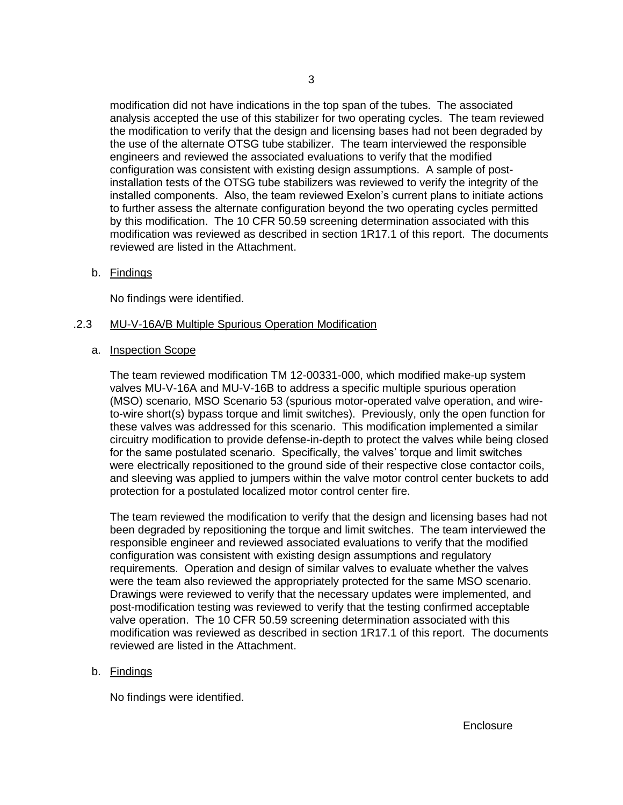modification did not have indications in the top span of the tubes. The associated analysis accepted the use of this stabilizer for two operating cycles. The team reviewed the modification to verify that the design and licensing bases had not been degraded by the use of the alternate OTSG tube stabilizer. The team interviewed the responsible engineers and reviewed the associated evaluations to verify that the modified configuration was consistent with existing design assumptions. A sample of postinstallation tests of the OTSG tube stabilizers was reviewed to verify the integrity of the installed components. Also, the team reviewed Exelon's current plans to initiate actions to further assess the alternate configuration beyond the two operating cycles permitted by this modification. The 10 CFR 50.59 screening determination associated with this modification was reviewed as described in section 1R17.1 of this report. The documents reviewed are listed in the Attachment.

b. Findings

No findings were identified.

## .2.3 MU-V-16A/B Multiple Spurious Operation Modification

## a. Inspection Scope

The team reviewed modification TM 12-00331-000, which modified make-up system valves MU-V-16A and MU-V-16B to address a specific multiple spurious operation (MSO) scenario, MSO Scenario 53 (spurious motor-operated valve operation, and wireto-wire short(s) bypass torque and limit switches). Previously, only the open function for these valves was addressed for this scenario. This modification implemented a similar circuitry modification to provide defense-in-depth to protect the valves while being closed for the same postulated scenario. Specifically, the valves' torque and limit switches were electrically repositioned to the ground side of their respective close contactor coils, and sleeving was applied to jumpers within the valve motor control center buckets to add protection for a postulated localized motor control center fire.

The team reviewed the modification to verify that the design and licensing bases had not been degraded by repositioning the torque and limit switches. The team interviewed the responsible engineer and reviewed associated evaluations to verify that the modified configuration was consistent with existing design assumptions and regulatory requirements. Operation and design of similar valves to evaluate whether the valves were the team also reviewed the appropriately protected for the same MSO scenario. Drawings were reviewed to verify that the necessary updates were implemented, and post-modification testing was reviewed to verify that the testing confirmed acceptable valve operation. The 10 CFR 50.59 screening determination associated with this modification was reviewed as described in section 1R17.1 of this report. The documents reviewed are listed in the Attachment.

## b. Findings

No findings were identified.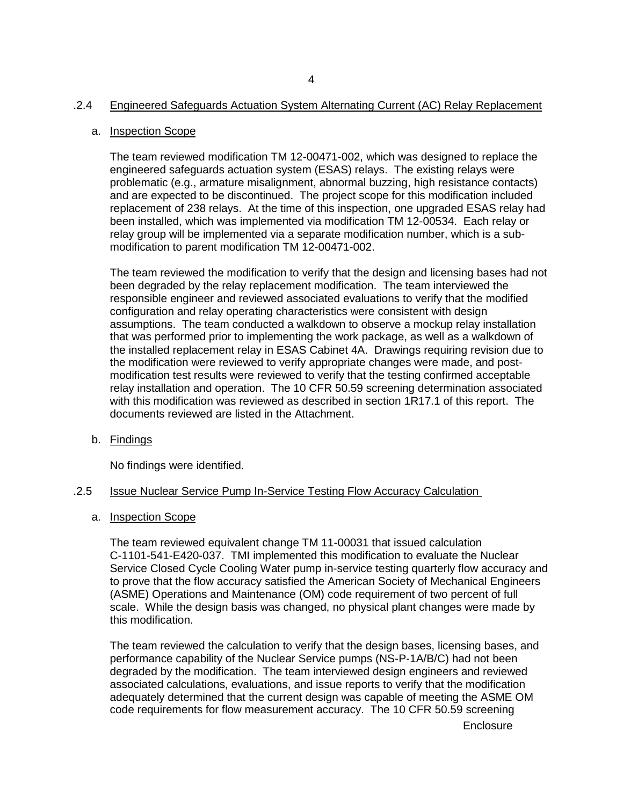## .2.4 Engineered Safeguards Actuation System Alternating Current (AC) Relay Replacement

#### a. Inspection Scope

The team reviewed modification TM 12-00471-002, which was designed to replace the engineered safeguards actuation system (ESAS) relays. The existing relays were problematic (e.g., armature misalignment, abnormal buzzing, high resistance contacts) and are expected to be discontinued. The project scope for this modification included replacement of 238 relays. At the time of this inspection, one upgraded ESAS relay had been installed, which was implemented via modification TM 12-00534. Each relay or relay group will be implemented via a separate modification number, which is a submodification to parent modification TM 12-00471-002.

The team reviewed the modification to verify that the design and licensing bases had not been degraded by the relay replacement modification. The team interviewed the responsible engineer and reviewed associated evaluations to verify that the modified configuration and relay operating characteristics were consistent with design assumptions. The team conducted a walkdown to observe a mockup relay installation that was performed prior to implementing the work package, as well as a walkdown of the installed replacement relay in ESAS Cabinet 4A. Drawings requiring revision due to the modification were reviewed to verify appropriate changes were made, and postmodification test results were reviewed to verify that the testing confirmed acceptable relay installation and operation. The 10 CFR 50.59 screening determination associated with this modification was reviewed as described in section 1R17.1 of this report. The documents reviewed are listed in the Attachment.

b. Findings

No findings were identified.

#### .2.5 Issue Nuclear Service Pump In-Service Testing Flow Accuracy Calculation

### a. Inspection Scope

The team reviewed equivalent change TM 11-00031 that issued calculation C-1101-541-E420-037. TMI implemented this modification to evaluate the Nuclear Service Closed Cycle Cooling Water pump in-service testing quarterly flow accuracy and to prove that the flow accuracy satisfied the American Society of Mechanical Engineers (ASME) Operations and Maintenance (OM) code requirement of two percent of full scale. While the design basis was changed, no physical plant changes were made by this modification.

The team reviewed the calculation to verify that the design bases, licensing bases, and performance capability of the Nuclear Service pumps (NS-P-1A/B/C) had not been degraded by the modification. The team interviewed design engineers and reviewed associated calculations, evaluations, and issue reports to verify that the modification adequately determined that the current design was capable of meeting the ASME OM code requirements for flow measurement accuracy. The 10 CFR 50.59 screening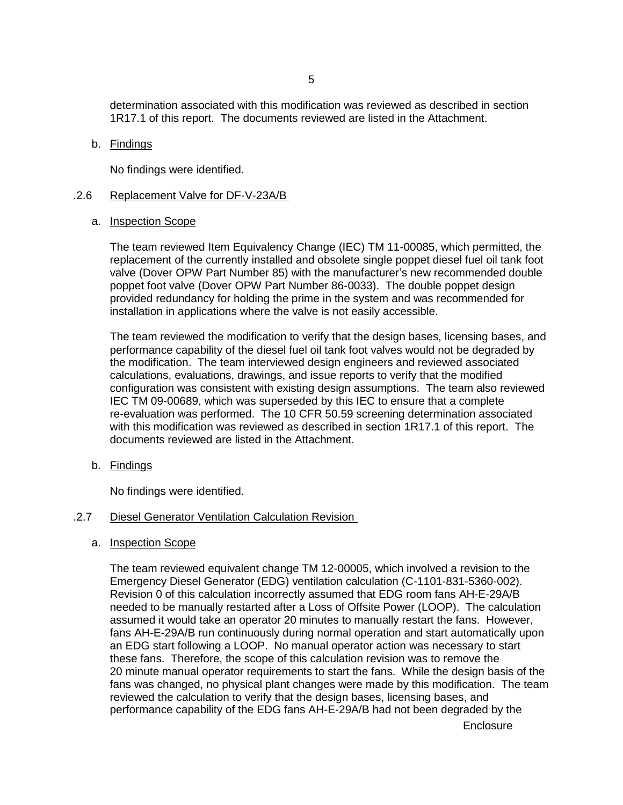determination associated with this modification was reviewed as described in section 1R17.1 of this report. The documents reviewed are listed in the Attachment.

#### b. Findings

No findings were identified.

#### .2.6 Replacement Valve for DF-V-23A/B

#### a. Inspection Scope

The team reviewed Item Equivalency Change (IEC) TM 11-00085, which permitted, the replacement of the currently installed and obsolete single poppet diesel fuel oil tank foot valve (Dover OPW Part Number 85) with the manufacturer's new recommended double poppet foot valve (Dover OPW Part Number 86-0033). The double poppet design provided redundancy for holding the prime in the system and was recommended for installation in applications where the valve is not easily accessible.

The team reviewed the modification to verify that the design bases, licensing bases, and performance capability of the diesel fuel oil tank foot valves would not be degraded by the modification. The team interviewed design engineers and reviewed associated calculations, evaluations, drawings, and issue reports to verify that the modified configuration was consistent with existing design assumptions. The team also reviewed IEC TM 09-00689, which was superseded by this IEC to ensure that a complete re-evaluation was performed. The 10 CFR 50.59 screening determination associated with this modification was reviewed as described in section 1R17.1 of this report. The documents reviewed are listed in the Attachment.

b. Findings

No findings were identified.

#### .2.7 Diesel Generator Ventilation Calculation Revision

a. Inspection Scope

The team reviewed equivalent change TM 12-00005, which involved a revision to the Emergency Diesel Generator (EDG) ventilation calculation (C-1101-831-5360-002). Revision 0 of this calculation incorrectly assumed that EDG room fans AH-E-29A/B needed to be manually restarted after a Loss of Offsite Power (LOOP). The calculation assumed it would take an operator 20 minutes to manually restart the fans. However, fans AH-E-29A/B run continuously during normal operation and start automatically upon an EDG start following a LOOP. No manual operator action was necessary to start these fans. Therefore, the scope of this calculation revision was to remove the 20 minute manual operator requirements to start the fans. While the design basis of the fans was changed, no physical plant changes were made by this modification. The team reviewed the calculation to verify that the design bases, licensing bases, and performance capability of the EDG fans AH-E-29A/B had not been degraded by the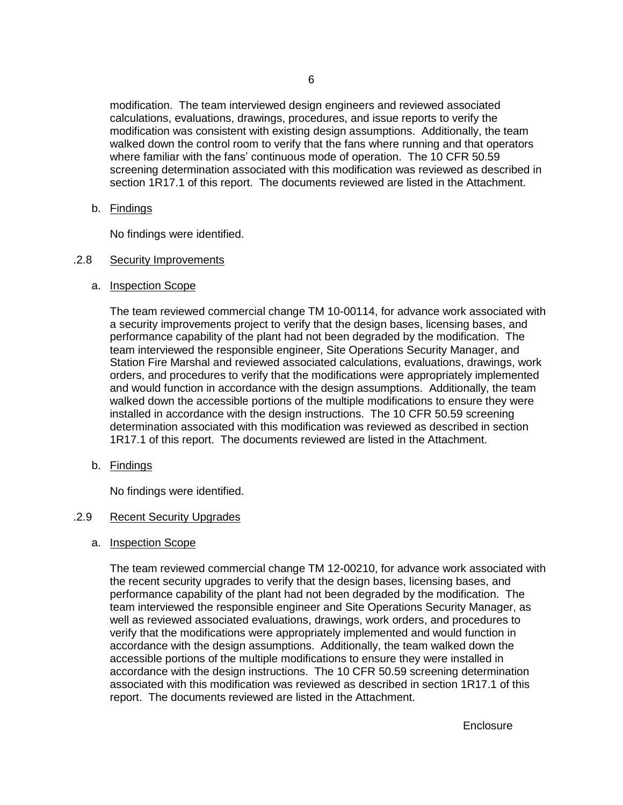modification. The team interviewed design engineers and reviewed associated calculations, evaluations, drawings, procedures, and issue reports to verify the modification was consistent with existing design assumptions. Additionally, the team walked down the control room to verify that the fans where running and that operators where familiar with the fans' continuous mode of operation. The 10 CFR 50.59 screening determination associated with this modification was reviewed as described in section 1R17.1 of this report. The documents reviewed are listed in the Attachment.

b. Findings

No findings were identified.

## .2.8 Security Improvements

a. Inspection Scope

The team reviewed commercial change TM 10-00114, for advance work associated with a security improvements project to verify that the design bases, licensing bases, and performance capability of the plant had not been degraded by the modification. The team interviewed the responsible engineer, Site Operations Security Manager, and Station Fire Marshal and reviewed associated calculations, evaluations, drawings, work orders, and procedures to verify that the modifications were appropriately implemented and would function in accordance with the design assumptions. Additionally, the team walked down the accessible portions of the multiple modifications to ensure they were installed in accordance with the design instructions. The 10 CFR 50.59 screening determination associated with this modification was reviewed as described in section 1R17.1 of this report. The documents reviewed are listed in the Attachment.

b. Findings

No findings were identified.

## .2.9 Recent Security Upgrades

a. Inspection Scope

The team reviewed commercial change TM 12-00210, for advance work associated with the recent security upgrades to verify that the design bases, licensing bases, and performance capability of the plant had not been degraded by the modification. The team interviewed the responsible engineer and Site Operations Security Manager, as well as reviewed associated evaluations, drawings, work orders, and procedures to verify that the modifications were appropriately implemented and would function in accordance with the design assumptions. Additionally, the team walked down the accessible portions of the multiple modifications to ensure they were installed in accordance with the design instructions. The 10 CFR 50.59 screening determination associated with this modification was reviewed as described in section 1R17.1 of this report. The documents reviewed are listed in the Attachment.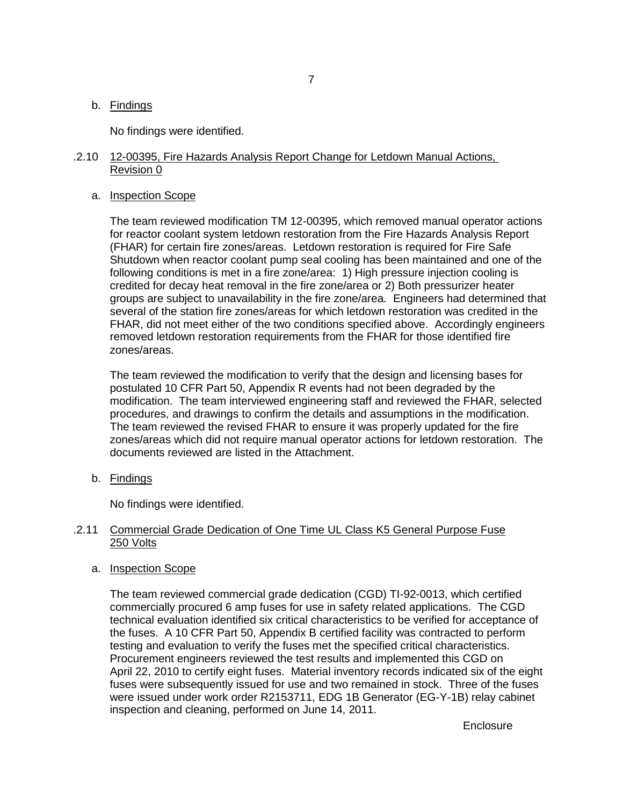b. Findings

No findings were identified.

## .2.10 12-00395, Fire Hazards Analysis Report Change for Letdown Manual Actions, Revision 0

a. Inspection Scope

The team reviewed modification TM 12-00395, which removed manual operator actions for reactor coolant system letdown restoration from the Fire Hazards Analysis Report (FHAR) for certain fire zones/areas. Letdown restoration is required for Fire Safe Shutdown when reactor coolant pump seal cooling has been maintained and one of the following conditions is met in a fire zone/area: 1) High pressure injection cooling is credited for decay heat removal in the fire zone/area or 2) Both pressurizer heater groups are subject to unavailability in the fire zone/area. Engineers had determined that several of the station fire zones/areas for which letdown restoration was credited in the FHAR, did not meet either of the two conditions specified above. Accordingly engineers removed letdown restoration requirements from the FHAR for those identified fire zones/areas.

The team reviewed the modification to verify that the design and licensing bases for postulated 10 CFR Part 50, Appendix R events had not been degraded by the modification. The team interviewed engineering staff and reviewed the FHAR, selected procedures, and drawings to confirm the details and assumptions in the modification. The team reviewed the revised FHAR to ensure it was properly updated for the fire zones/areas which did not require manual operator actions for letdown restoration. The documents reviewed are listed in the Attachment.

b. Findings

No findings were identified.

## .2.11 Commercial Grade Dedication of One Time UL Class K5 General Purpose Fuse 250 Volts

a. Inspection Scope

The team reviewed commercial grade dedication (CGD) TI-92-0013, which certified commercially procured 6 amp fuses for use in safety related applications. The CGD technical evaluation identified six critical characteristics to be verified for acceptance of the fuses. A 10 CFR Part 50, Appendix B certified facility was contracted to perform testing and evaluation to verify the fuses met the specified critical characteristics. Procurement engineers reviewed the test results and implemented this CGD on April 22, 2010 to certify eight fuses. Material inventory records indicated six of the eight fuses were subsequently issued for use and two remained in stock. Three of the fuses were issued under work order R2153711, EDG 1B Generator (EG-Y-1B) relay cabinet inspection and cleaning, performed on June 14, 2011.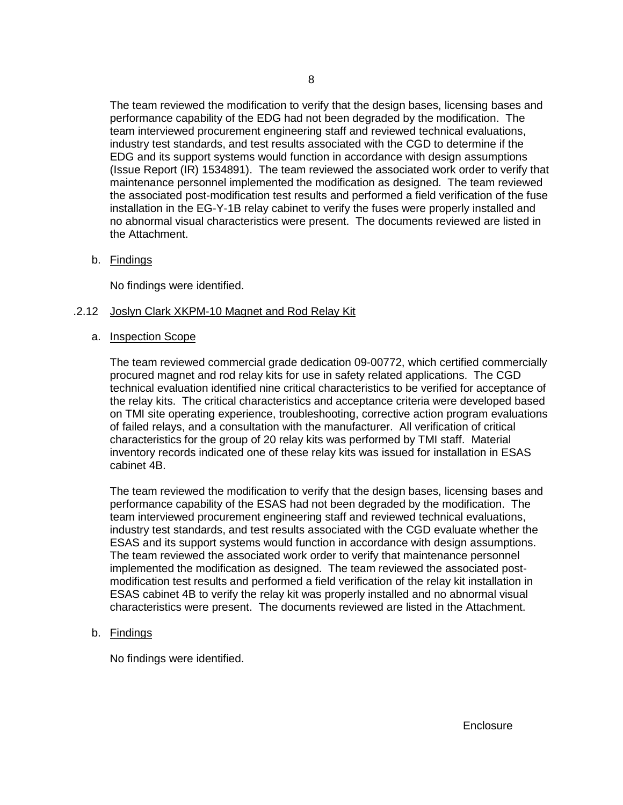The team reviewed the modification to verify that the design bases, licensing bases and performance capability of the EDG had not been degraded by the modification. The team interviewed procurement engineering staff and reviewed technical evaluations, industry test standards, and test results associated with the CGD to determine if the EDG and its support systems would function in accordance with design assumptions (Issue Report (IR) 1534891). The team reviewed the associated work order to verify that maintenance personnel implemented the modification as designed. The team reviewed the associated post-modification test results and performed a field verification of the fuse installation in the EG-Y-1B relay cabinet to verify the fuses were properly installed and no abnormal visual characteristics were present. The documents reviewed are listed in the Attachment.

b. Findings

No findings were identified.

#### .2.12 Joslyn Clark XKPM-10 Magnet and Rod Relay Kit

a. Inspection Scope

The team reviewed commercial grade dedication 09-00772, which certified commercially procured magnet and rod relay kits for use in safety related applications. The CGD technical evaluation identified nine critical characteristics to be verified for acceptance of the relay kits. The critical characteristics and acceptance criteria were developed based on TMI site operating experience, troubleshooting, corrective action program evaluations of failed relays, and a consultation with the manufacturer. All verification of critical characteristics for the group of 20 relay kits was performed by TMI staff. Material inventory records indicated one of these relay kits was issued for installation in ESAS cabinet 4B.

The team reviewed the modification to verify that the design bases, licensing bases and performance capability of the ESAS had not been degraded by the modification. The team interviewed procurement engineering staff and reviewed technical evaluations, industry test standards, and test results associated with the CGD evaluate whether the ESAS and its support systems would function in accordance with design assumptions. The team reviewed the associated work order to verify that maintenance personnel implemented the modification as designed. The team reviewed the associated postmodification test results and performed a field verification of the relay kit installation in ESAS cabinet 4B to verify the relay kit was properly installed and no abnormal visual characteristics were present. The documents reviewed are listed in the Attachment.

b. Findings

No findings were identified.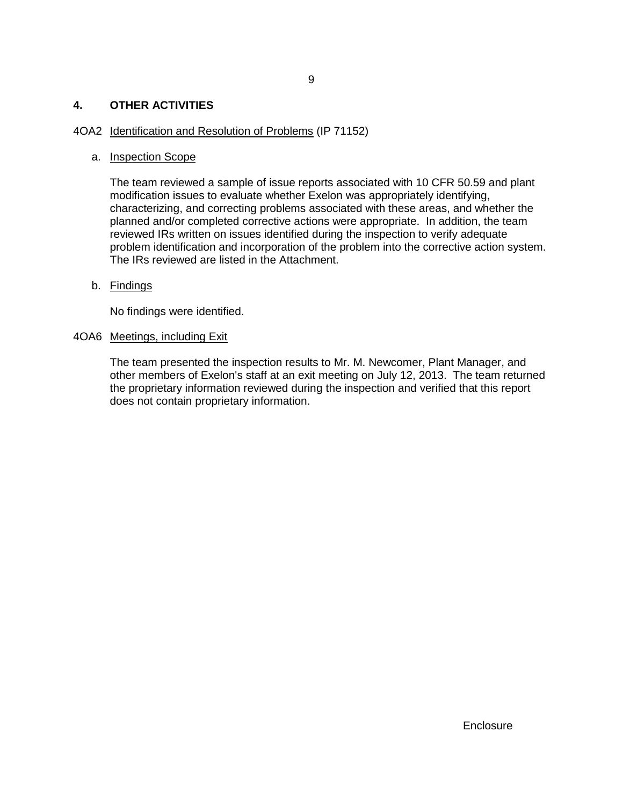# **4. OTHER ACTIVITIES**

## 4OA2 Identification and Resolution of Problems (IP 71152)

## a. Inspection Scope

The team reviewed a sample of issue reports associated with 10 CFR 50.59 and plant modification issues to evaluate whether Exelon was appropriately identifying, characterizing, and correcting problems associated with these areas, and whether the planned and/or completed corrective actions were appropriate. In addition, the team reviewed IRs written on issues identified during the inspection to verify adequate problem identification and incorporation of the problem into the corrective action system. The IRs reviewed are listed in the Attachment.

## b. Findings

No findings were identified.

## 4OA6 Meetings, including Exit

The team presented the inspection results to Mr. M. Newcomer, Plant Manager, and other members of Exelon's staff at an exit meeting on July 12, 2013. The team returned the proprietary information reviewed during the inspection and verified that this report does not contain proprietary information.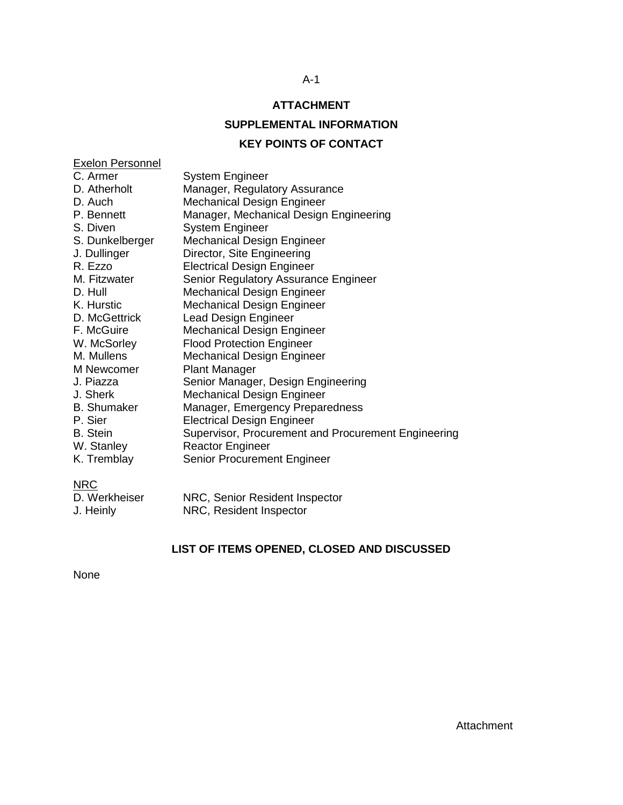# **ATTACHMENT**

A-1

# **SUPPLEMENTAL INFORMATION**

# **KEY POINTS OF CONTACT**

| <b>Exelon Personnel</b> |                                                     |
|-------------------------|-----------------------------------------------------|
| C. Armer                | <b>System Engineer</b>                              |
| D. Atherholt            | Manager, Regulatory Assurance                       |
| D. Auch                 | <b>Mechanical Design Engineer</b>                   |
| P. Bennett              | Manager, Mechanical Design Engineering              |
| S. Diven                | <b>System Engineer</b>                              |
| S. Dunkelberger         | Mechanical Design Engineer                          |
| J. Dullinger            | Director, Site Engineering                          |
| R. Ezzo                 | <b>Electrical Design Engineer</b>                   |
| M. Fitzwater            | Senior Regulatory Assurance Engineer                |
| D. Hull                 | <b>Mechanical Design Engineer</b>                   |
| K. Hurstic              | <b>Mechanical Design Engineer</b>                   |
| D. McGettrick           | <b>Lead Design Engineer</b>                         |
| F. McGuire              | <b>Mechanical Design Engineer</b>                   |
| W. McSorley             | <b>Flood Protection Engineer</b>                    |
| M. Mullens              | <b>Mechanical Design Engineer</b>                   |
| M Newcomer              | <b>Plant Manager</b>                                |
| J. Piazza               | Senior Manager, Design Engineering                  |
| J. Sherk                | <b>Mechanical Design Engineer</b>                   |
| <b>B.</b> Shumaker      | Manager, Emergency Preparedness                     |
| P. Sier                 | <b>Electrical Design Engineer</b>                   |
| <b>B.</b> Stein         | Supervisor, Procurement and Procurement Engineering |
| W. Stanley              | <b>Reactor Engineer</b>                             |
| K. Tremblay             | <b>Senior Procurement Engineer</b>                  |
|                         |                                                     |

## NRC

| D. Werkheiser | NRC, Senior Resident Inspector |
|---------------|--------------------------------|
| J. Heinly     | NRC, Resident Inspector        |

# **LIST OF ITEMS OPENED, CLOSED AND DISCUSSED**

None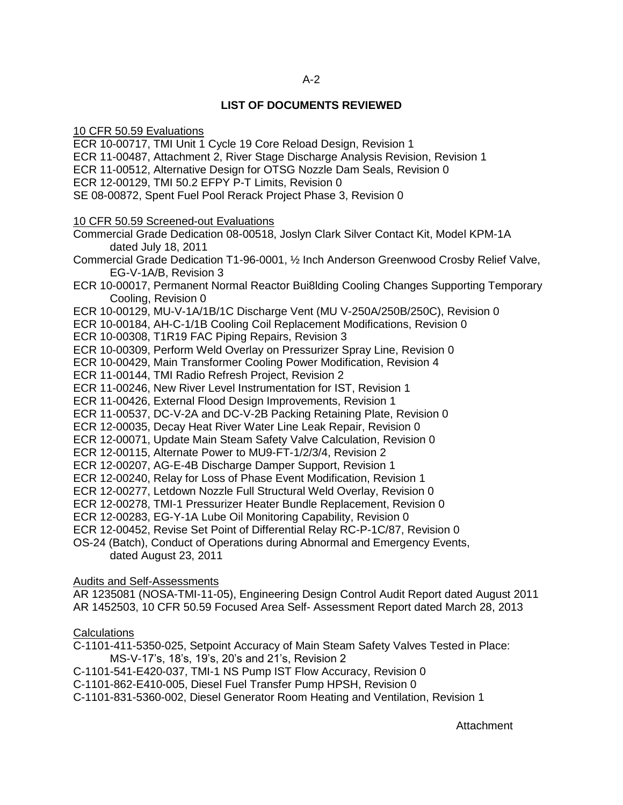## **LIST OF DOCUMENTS REVIEWED**

10 CFR 50.59 Evaluations ECR 10-00717, TMI Unit 1 Cycle 19 Core Reload Design, Revision 1 ECR 11-00487, Attachment 2, River Stage Discharge Analysis Revision, Revision 1 ECR 11-00512, Alternative Design for OTSG Nozzle Dam Seals, Revision 0 ECR 12-00129, TMI 50.2 EFPY P-T Limits, Revision 0 SE 08-00872, Spent Fuel Pool Rerack Project Phase 3, Revision 0 10 CFR 50.59 Screened-out Evaluations Commercial Grade Dedication 08-00518, Joslyn Clark Silver Contact Kit, Model KPM-1A dated July 18, 2011 Commercial Grade Dedication T1-96-0001, ½ Inch Anderson Greenwood Crosby Relief Valve, EG-V-1A/B, Revision 3 ECR 10-00017, Permanent Normal Reactor Bui8lding Cooling Changes Supporting Temporary Cooling, Revision 0 ECR 10-00129, MU-V-1A/1B/1C Discharge Vent (MU V-250A/250B/250C), Revision 0 ECR 10-00184, AH-C-1/1B Cooling Coil Replacement Modifications, Revision 0 ECR 10-00308, T1R19 FAC Piping Repairs, Revision 3 ECR 10-00309, Perform Weld Overlay on Pressurizer Spray Line, Revision 0 ECR 10-00429, Main Transformer Cooling Power Modification, Revision 4 ECR 11-00144, TMI Radio Refresh Project, Revision 2 ECR 11-00246, New River Level Instrumentation for IST, Revision 1 ECR 11-00426, External Flood Design Improvements, Revision 1 ECR 11-00537, DC-V-2A and DC-V-2B Packing Retaining Plate, Revision 0 ECR 12-00035, Decay Heat River Water Line Leak Repair, Revision 0 ECR 12-00071, Update Main Steam Safety Valve Calculation, Revision 0 ECR 12-00115, Alternate Power to MU9-FT-1/2/3/4, Revision 2 ECR 12-00207, AG-E-4B Discharge Damper Support, Revision 1 ECR 12-00240, Relay for Loss of Phase Event Modification, Revision 1 ECR 12-00277, Letdown Nozzle Full Structural Weld Overlay, Revision 0 ECR 12-00278, TMI-1 Pressurizer Heater Bundle Replacement, Revision 0 ECR 12-00283, EG-Y-1A Lube Oil Monitoring Capability, Revision 0

ECR 12-00452, Revise Set Point of Differential Relay RC-P-1C/87, Revision 0

OS-24 (Batch), Conduct of Operations during Abnormal and Emergency Events, dated August 23, 2011

## Audits and Self-Assessments

AR 1235081 (NOSA-TMI-11-05), Engineering Design Control Audit Report dated August 2011 AR 1452503, 10 CFR 50.59 Focused Area Self- Assessment Report dated March 28, 2013

**Calculations** 

C-1101-411-5350-025, Setpoint Accuracy of Main Steam Safety Valves Tested in Place: MS-V-17's, 18's, 19's, 20's and 21's, Revision 2

C-1101-541-E420-037, TMI-1 NS Pump IST Flow Accuracy, Revision 0

C-1101-862-E410-005, Diesel Fuel Transfer Pump HPSH, Revision 0

C-1101-831-5360-002, Diesel Generator Room Heating and Ventilation, Revision 1

Attachment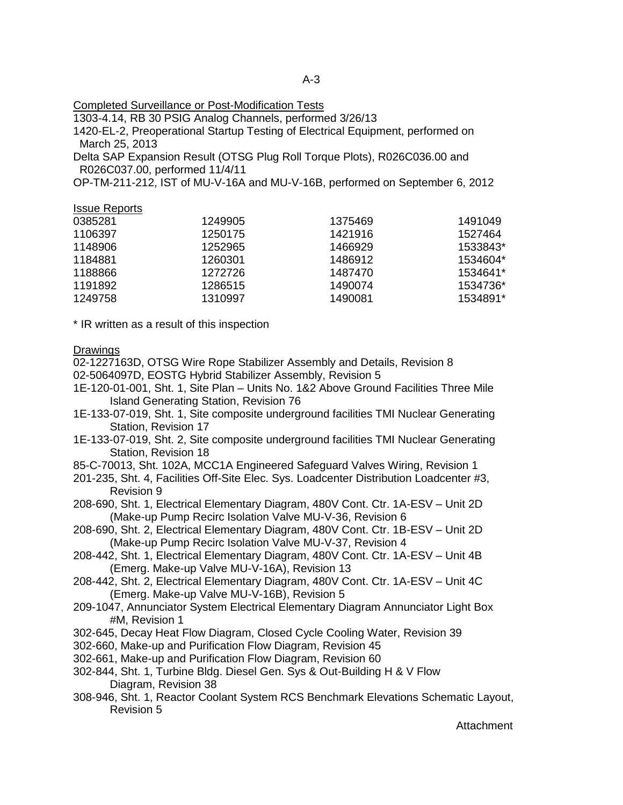Completed Surveillance or Post-Modification Tests

1303-4.14, RB 30 PSIG Analog Channels, performed 3/26/13

1420-EL-2, Preoperational Startup Testing of Electrical Equipment, performed on March 25, 2013

Delta SAP Expansion Result (OTSG Plug Roll Torque Plots), R026C036.00 and R026C037.00, performed 11/4/11

OP-TM-211-212, IST of MU-V-16A and MU-V-16B, performed on September 6, 2012

#### Issue Reports

| 0385281 | 1249905 | 1375469 | 1491049  |
|---------|---------|---------|----------|
| 1106397 | 1250175 | 1421916 | 1527464  |
| 1148906 | 1252965 | 1466929 | 1533843* |
| 1184881 | 1260301 | 1486912 | 1534604* |
| 1188866 | 1272726 | 1487470 | 1534641* |
| 1191892 | 1286515 | 1490074 | 1534736* |
| 1249758 | 1310997 | 1490081 | 1534891* |

\* IR written as a result of this inspection

## Drawings

02-1227163D, OTSG Wire Rope Stabilizer Assembly and Details, Revision 8

- 02-5064097D, EOSTG Hybrid Stabilizer Assembly, Revision 5
- 1E-120-01-001, Sht. 1, Site Plan Units No. 1&2 Above Ground Facilities Three Mile Island Generating Station, Revision 76
- 1E-133-07-019, Sht. 1, Site composite underground facilities TMI Nuclear Generating Station, Revision 17
- 1E-133-07-019, Sht. 2, Site composite underground facilities TMI Nuclear Generating Station, Revision 18
- 85-C-70013, Sht. 102A, MCC1A Engineered Safeguard Valves Wiring, Revision 1
- 201-235, Sht. 4, Facilities Off-Site Elec. Sys. Loadcenter Distribution Loadcenter #3, Revision 9
- 208-690, Sht. 1, Electrical Elementary Diagram, 480V Cont. Ctr. 1A-ESV Unit 2D (Make-up Pump Recirc Isolation Valve MU-V-36, Revision 6
- 208-690, Sht. 2, Electrical Elementary Diagram, 480V Cont. Ctr. 1B-ESV Unit 2D (Make-up Pump Recirc Isolation Valve MU-V-37, Revision 4
- 208-442, Sht. 1, Electrical Elementary Diagram, 480V Cont. Ctr. 1A-ESV Unit 4B (Emerg. Make-up Valve MU-V-16A), Revision 13
- 208-442, Sht. 2, Electrical Elementary Diagram, 480V Cont. Ctr. 1A-ESV Unit 4C (Emerg. Make-up Valve MU-V-16B), Revision 5
- 209-1047, Annunciator System Electrical Elementary Diagram Annunciator Light Box #M, Revision 1
- 302-645, Decay Heat Flow Diagram, Closed Cycle Cooling Water, Revision 39
- 302-660, Make-up and Purification Flow Diagram, Revision 45

302-661, Make-up and Purification Flow Diagram, Revision 60

- 302-844, Sht. 1, Turbine Bldg. Diesel Gen. Sys & Out-Building H & V Flow Diagram, Revision 38
- 308-946, Sht. 1, Reactor Coolant System RCS Benchmark Elevations Schematic Layout, Revision 5

Attachment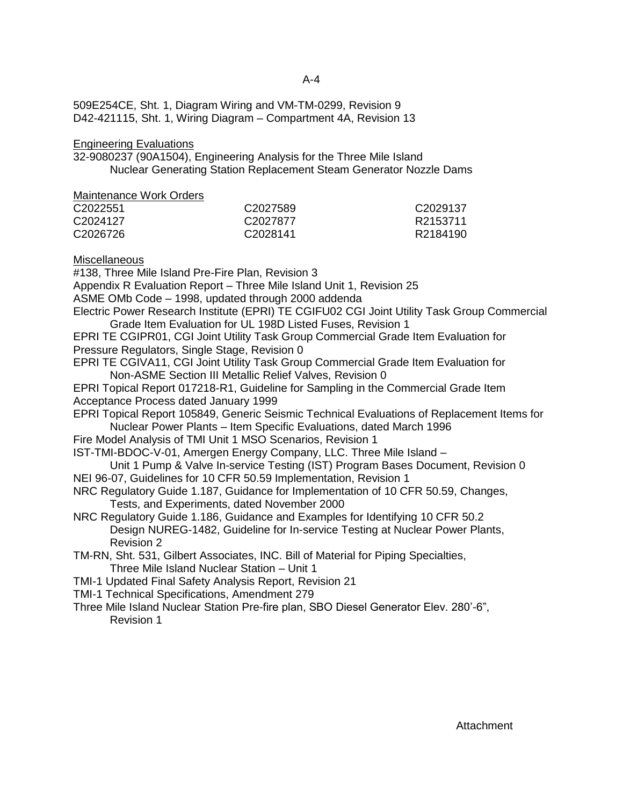509E254CE, Sht. 1, Diagram Wiring and VM-TM-0299, Revision 9 D42-421115, Sht. 1, Wiring Diagram – Compartment 4A, Revision 13

Engineering Evaluations

32-9080237 (90A1504), Engineering Analysis for the Three Mile Island Nuclear Generating Station Replacement Steam Generator Nozzle Dams

| Maintenance Work Orders |                      |          |
|-------------------------|----------------------|----------|
| C <sub>2022551</sub>    | C <sub>2027589</sub> | C2029137 |
| C2024127                | C <sub>2027877</sub> | R2153711 |
| C2026726                | C <sub>2028141</sub> | R2184190 |

#### **Miscellaneous**

#138, Three Mile Island Pre-Fire Plan, Revision 3

- Appendix R Evaluation Report Three Mile Island Unit 1, Revision 25 ASME OMb Code – 1998, updated through 2000 addenda
- Electric Power Research Institute (EPRI) TE CGIFU02 CGI Joint Utility Task Group Commercial Grade Item Evaluation for UL 198D Listed Fuses, Revision 1
- EPRI TE CGIPR01, CGI Joint Utility Task Group Commercial Grade Item Evaluation for Pressure Regulators, Single Stage, Revision 0
- EPRI TE CGIVA11, CGI Joint Utility Task Group Commercial Grade Item Evaluation for Non-ASME Section III Metallic Relief Valves, Revision 0
- EPRI Topical Report 017218-R1, Guideline for Sampling in the Commercial Grade Item Acceptance Process dated January 1999
- EPRI Topical Report 105849, Generic Seismic Technical Evaluations of Replacement Items for Nuclear Power Plants – Item Specific Evaluations, dated March 1996
- Fire Model Analysis of TMI Unit 1 MSO Scenarios, Revision 1

IST-TMI-BDOC-V-01, Amergen Energy Company, LLC. Three Mile Island –

- Unit 1 Pump & Valve In-service Testing (IST) Program Bases Document, Revision 0
- NEI 96-07, Guidelines for 10 CFR 50.59 Implementation, Revision 1
- NRC Regulatory Guide 1.187, Guidance for Implementation of 10 CFR 50.59, Changes, Tests, and Experiments, dated November 2000

NRC Regulatory Guide 1.186, Guidance and Examples for Identifying 10 CFR 50.2 Design NUREG-1482, Guideline for In-service Testing at Nuclear Power Plants, Revision 2

TM-RN, Sht. 531, Gilbert Associates, INC. Bill of Material for Piping Specialties, Three Mile Island Nuclear Station – Unit 1

TMI-1 Updated Final Safety Analysis Report, Revision 21

- TMI-1 Technical Specifications, Amendment 279
- Three Mile Island Nuclear Station Pre-fire plan, SBO Diesel Generator Elev. 280'-6", Revision 1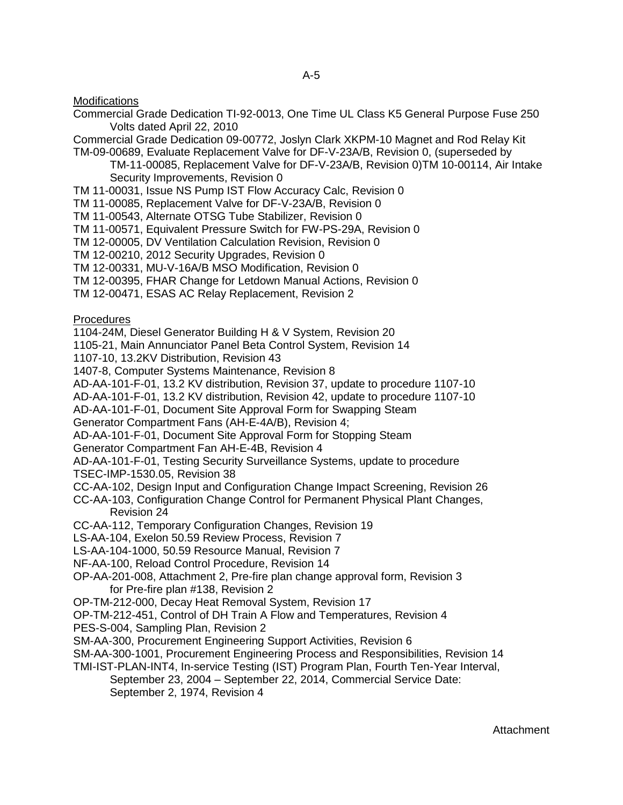**Modifications** 

Commercial Grade Dedication TI-92-0013, One Time UL Class K5 General Purpose Fuse 250 Volts dated April 22, 2010

Commercial Grade Dedication 09-00772, Joslyn Clark XKPM-10 Magnet and Rod Relay Kit TM-09-00689, Evaluate Replacement Valve for DF-V-23A/B, Revision 0, (superseded by

TM-11-00085, Replacement Valve for DF-V-23A/B, Revision 0)TM 10-00114, Air Intake Security Improvements, Revision 0

TM 11-00031, Issue NS Pump IST Flow Accuracy Calc, Revision 0

TM 11-00085, Replacement Valve for DF-V-23A/B, Revision 0

TM 11-00543, Alternate OTSG Tube Stabilizer, Revision 0

TM 11-00571, Equivalent Pressure Switch for FW-PS-29A, Revision 0

TM 12-00005, DV Ventilation Calculation Revision, Revision 0

TM 12-00210, 2012 Security Upgrades, Revision 0

TM 12-00331, MU-V-16A/B MSO Modification, Revision 0

TM 12-00395, FHAR Change for Letdown Manual Actions, Revision 0

TM 12-00471, ESAS AC Relay Replacement, Revision 2

**Procedures** 

1104-24M, Diesel Generator Building H & V System, Revision 20

1105-21, Main Annunciator Panel Beta Control System, Revision 14

1107-10, 13.2KV Distribution, Revision 43

1407-8, Computer Systems Maintenance, Revision 8

AD-AA-101-F-01, 13.2 KV distribution, Revision 37, update to procedure 1107-10

AD-AA-101-F-01, 13.2 KV distribution, Revision 42, update to procedure 1107-10

AD-AA-101-F-01, Document Site Approval Form for Swapping Steam

Generator Compartment Fans (AH-E-4A/B), Revision 4;

AD-AA-101-F-01, Document Site Approval Form for Stopping Steam

Generator Compartment Fan AH-E-4B, Revision 4

AD-AA-101-F-01, Testing Security Surveillance Systems, update to procedure

TSEC-IMP-1530.05, Revision 38

CC-AA-102, Design Input and Configuration Change Impact Screening, Revision 26

CC-AA-103, Configuration Change Control for Permanent Physical Plant Changes, Revision 24

CC-AA-112, Temporary Configuration Changes, Revision 19

LS-AA-104, Exelon 50.59 Review Process, Revision 7

LS-AA-104-1000, 50.59 Resource Manual, Revision 7

NF-AA-100, Reload Control Procedure, Revision 14

OP-AA-201-008, Attachment 2, Pre-fire plan change approval form, Revision 3 for Pre-fire plan #138, Revision 2

OP-TM-212-000, Decay Heat Removal System, Revision 17

OP-TM-212-451, Control of DH Train A Flow and Temperatures, Revision 4

PES-S-004, Sampling Plan, Revision 2

SM-AA-300, Procurement Engineering Support Activities, Revision 6

SM-AA-300-1001, Procurement Engineering Process and Responsibilities, Revision 14

TMI-IST-PLAN-INT4, In-service Testing (IST) Program Plan, Fourth Ten-Year Interval, September 23, 2004 – September 22, 2014, Commercial Service Date: September 2, 1974, Revision 4

Attachment